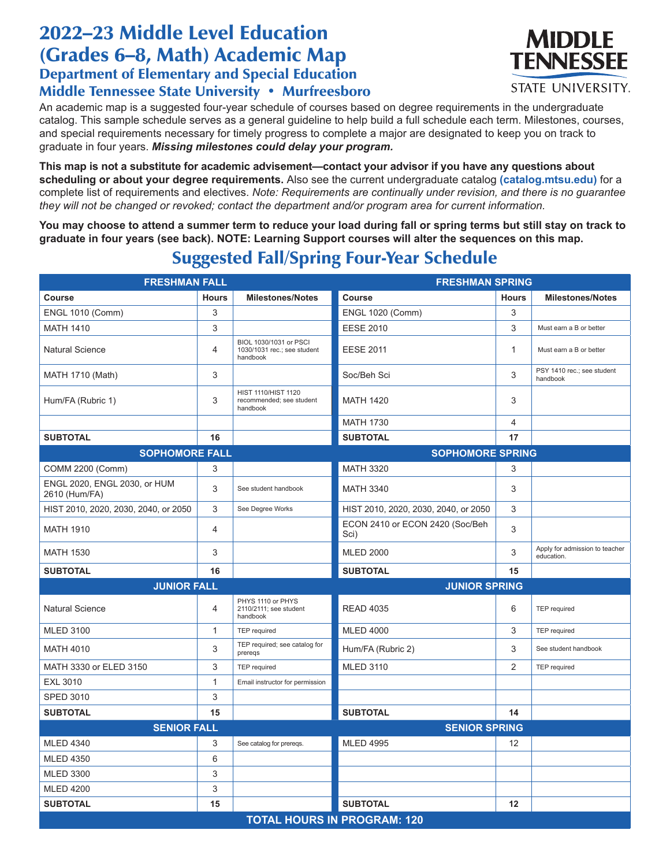## 2022–23 Middle Level Education (Grades 6-8, Math) Academic Map Department of Elementary and Special Education

## Middle Tennessee State University • Murfreesboro

An academic map is a suggested four-year schedule of courses based on degree requirements in the undergraduate catalog. This sample schedule serves as a general guideline to help build a full schedule each term. Milestones, courses, and special requirements necessary for timely progress to complete a major are designated to keep you on track to graduate in four years. *Missing milestones could delay your program.*

**This map is not a substitute for academic advisement—contact your advisor if you have any questions about scheduling or about your degree requirements.** Also see the current undergraduate catalog **(catalog.mtsu.edu)** for a complete list of requirements and electives. *Note: Requirements are continually under revision, and there is no guarantee they will not be changed or revoked; contact the department and/or program area for current information.*

**You may choose to attend a summer term to reduce your load during fall or spring terms but still stay on track to graduate in four years (see back). NOTE: Learning Support courses will alter the sequences on this map.**

**FRESHMAN FALL FRESHMAN SPRING** Course **Milestones/Notes Course** Course Hours Milestones/Notes **Course** Hours Milestones/Notes ENGL 1010 (Comm) 3 ENGL 1020 (Comm) 3 MATH 1410 3 EESE 2010 3 Must earn a B or better Natural Science 4 BIOL 1030/1031 or PSCI 1030/1031 rec.; see student handbook EESE 2011 2012 1 Must earn a B or better MATH 1710 (Math) | 3 | Note and the Soc/Beh Sci the Soc/Beh Sci the Soc/Beh Sci the Soc/Beh Sci the Soc/Beh Sci the Soc/Beh Sci the Soc/Beh Sci the Soc/Beh Sci the Soc/Beh Sci the Soc/Beh Sci the Soc/Beh Sci the S handbook HIST 1110/HIST 1120<br>Hum/FA (Rubric 1) 3 Fecommended; see st recommended; see student handbook MATH  $1420$  3 MATH 1730 4 **SUBTOTAL 16 SUBTOTAL 17 SOPHOMORE FALL** SOPHOMORE SPRING  $COMM$  2200 (Comm) 3  $\begin{array}{|c|c|c|c|c|c|} \hline \text{MATH 3320} & \text{3} & \text{3} & \text{3} & \text{3} & \text{3} & \text{3} & \text{3} & \text{3} & \text{3} & \text{3} & \text{3} & \text{3} & \text{3} & \text{3} & \text{3} & \text{3} & \text{3} & \text{3} & \text{3} & \text{3} & \text{3} & \text{3} & \text{3} & \text{3} & \text{3} & \text{3} & \text{3} & \text{3}$ ENGL 2020, ENGL 2030, or HUM<br>2610 (Hum/FA)  $2610$  (Hum/FA)  $3$  See student handbook MATH 3340  $340$ HIST 2010, 2020, 2030, 2040, or 2050 3 See Degree Works HIST 2010, 2020, 2030, 2040, or 2050 3 MATH 1910 4 ECON 2410 or ECON 2420 (Soc/Beh Sci) <sup>3</sup> MATH 1530  $\begin{array}{|c|c|c|c|c|}\n\hline\n\text{MLED 2000} & \text{3} & \text{Apply for a dimension to teacher} \\
\hline\n\end{array}$ education. **SUBTOTAL 16 SUBTOTAL 15 JUNIOR FALL JUNIOR SPRING** Natural Science 4 PHYS 1110 or PHYS 2110/2111; see student handbook READ 4035 6 TEP required MLED 3100 **1 TEP required MLED 4000** 1 3 TEP required MATH 4010 3 TEP required; see catalog for Hum/FA (Rubric 2)  $\begin{array}{|c|c|c|c|c|c|} \hline 3 & \text{See student handbook} \end{array}$ MATH 3330 or ELED 3150 3 3 TEP required MLED 3110 3 2 TEP required EXL 3010 **1** 1 Email instructor for permission SPED 3010 3 **SUBTOTAL 15 SUBTOTAL 14 SENIOR FALL SENIOR SPRING** MLED 4340 3 See catalog for prereqs. MLED 4995 12 MLED 4350 6 MLED 3300 3 MLED 4200 3 **SUBTOTAL 15 SUBTOTAL 12 TOTAL HOURS IN PROGRAM: 120**

## Suggested Fall/Spring Four-Year Schedule

TENNESSEE STATE UNIVERSITY.

**MIDDLE**